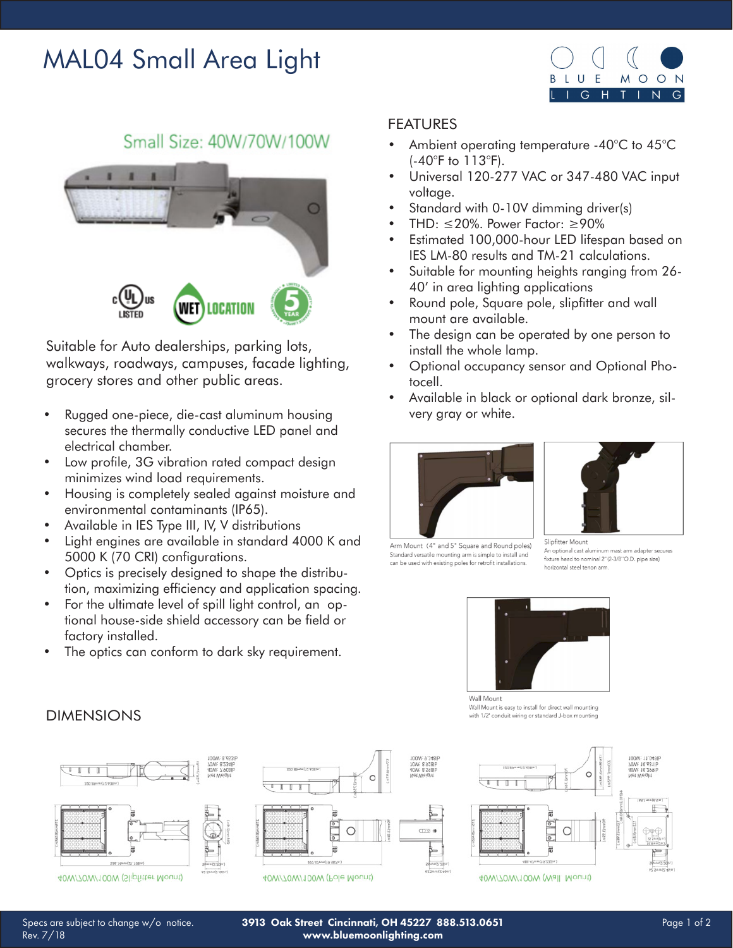# MAL04 Small Area Light



## Small Size: 40W/70W/100W



Suitable for Auto dealerships, parking lots, walkways, roadways, campuses, facade lighting, grocery stores and other public areas.

- Rugged one-piece, die-cast aluminum housing secures the thermally conductive LED panel and electrical chamber.
- Low profile, 3G vibration rated compact design minimizes wind load requirements.
- Housing is completely sealed against moisture and environmental contaminants (IP65).
- Available in IES Type III, IV, V distributions
- Light engines are available in standard 4000 K and 5000 K (70 CRI) configurations.
- Optics is precisely designed to shape the distribution, maximizing efficiency and application spacing.
- For the ultimate level of spill light control, an optional house-side shield accessory can be field or factory installed.
- The optics can conform to dark sky requirement.

#### FEATURES

- Ambient operating temperature -40°C to 45°C (-40°F to 113°F).
- Universal 120-277 VAC or 347-480 VAC input voltage.
- Standard with 0-10V dimming driver(s)
- THD:  $\leq$ 20%. Power Factor:  $\geq$ 90%
- Estimated 100,000-hour LED lifespan based on IES LM-80 results and TM-21 calculations.
- Suitable for mounting heights ranging from 26- 40' in area lighting applications
- Round pole, Square pole, slipfitter and wall mount are available.
- The design can be operated by one person to install the whole lamp.
- Optional occupancy sensor and Optional Photocell.
- Available in black or optional dark bronze, silvery gray or white.





Arm Mount (4" and 5" Square and Round poles) Standard versatile mounting arm is simple to install and can be used with existing poles for retrofit installations.

Slipfitter Mount An optional cast aluminum mast arm adapter secures fixture head to nominal 2"(2-3/8"O.D. pipe size) horizontal steel tenon arm



Wall Mount Wall Mount is easy to install for direct wall mounting with 1/2' conduit wiring or standard J-box mounting



#### **DIMENSIONS**